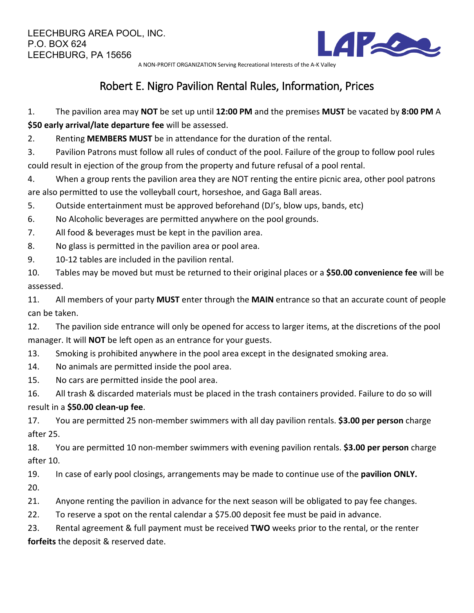

A NON-PROFIT ORGANIZATION Serving Recreational Interests of the A-K Valley

## Robert E. Nigro Pavilion Rental Rules, Information, Prices

1. The pavilion area may **NOT** be set up until **12:00 PM** and the premises **MUST** be vacated by **8:00 PM** A **\$50 early arrival/late departure fee** will be assessed.

2. Renting **MEMBERS MUST** be in attendance for the duration of the rental.

3. Pavilion Patrons must follow all rules of conduct of the pool. Failure of the group to follow pool rules could result in ejection of the group from the property and future refusal of a pool rental.

4. When a group rents the pavilion area they are NOT renting the entire picnic area, other pool patrons are also permitted to use the volleyball court, horseshoe, and Gaga Ball areas.

5. Outside entertainment must be approved beforehand (DJ's, blow ups, bands, etc)

6. No Alcoholic beverages are permitted anywhere on the pool grounds.

7. All food & beverages must be kept in the pavilion area.

8. No glass is permitted in the pavilion area or pool area.

9. 10-12 tables are included in the pavilion rental.

10. Tables may be moved but must be returned to their original places or a **\$50.00 convenience fee** will be assessed.

11. All members of your party **MUST** enter through the **MAIN** entrance so that an accurate count of people can be taken.

12. The pavilion side entrance will only be opened for access to larger items, at the discretions of the pool manager. It will **NOT** be left open as an entrance for your guests.

13. Smoking is prohibited anywhere in the pool area except in the designated smoking area.

14. No animals are permitted inside the pool area.

15. No cars are permitted inside the pool area.

16. All trash & discarded materials must be placed in the trash containers provided. Failure to do so will

## result in a **\$50.00 clean-up fee**.

17. You are permitted 25 non-member swimmers with all day pavilion rentals. **\$3.00 per person** charge after 25.

18. You are permitted 10 non-member swimmers with evening pavilion rentals. **\$3.00 per person** charge after 10.

19. In case of early pool closings, arrangements may be made to continue use of the **pavilion ONLY.** 20.

21. Anyone renting the pavilion in advance for the next season will be obligated to pay fee changes.

22. To reserve a spot on the rental calendar a \$75.00 deposit fee must be paid in advance.

23. Rental agreement & full payment must be received **TWO** weeks prior to the rental, or the renter **forfeits** the deposit & reserved date.